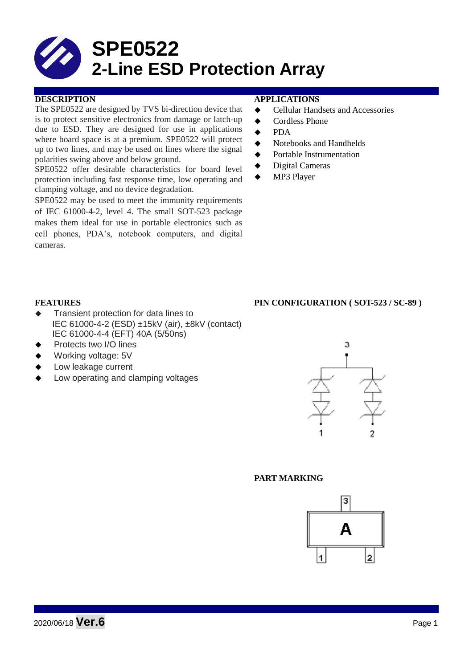# **SPE0522 2-Line ESD Protection Array**

#### **DESCRIPTION APPLICATIONS**

The SPE0522 are designed by TVS bi-direction device that is to protect sensitive electronics from damage or latch-up due to ESD. They are designed for use in applications where board space is at a premium. SPE0522 will protect up to two lines, and may be used on lines where the signal polarities swing above and below ground.

SPE0522 offer desirable characteristics for board level protection including fast response time, low operating and clamping voltage, and no device degradation.

SPE0522 may be used to meet the immunity requirements of IEC 61000-4-2, level 4. The small SOT-523 package makes them ideal for use in portable electronics such as cell phones, PDA's, notebook computers, and digital cameras.

- ◆ Cellular Handsets and Accessories
- ◆ Cordless Phone
- $\bullet$  PDA
- Notebooks and Handhelds
- Portable Instrumentation
- ◆ Digital Cameras
- MP3 Player

#### **FEATURES PIN CONFIGURATION ( SOT-523 / SC-89 )**

- $\triangleleft$  Transient protection for data lines to IEC 61000-4-2 (ESD) ±15kV (air), ±8kV (contact) IEC 61000-4-4 (EFT) 40A (5/50ns)
- Protects two I/O lines
- Working voltage: 5V
- Low leakage current
- Low operating and clamping voltages



#### **PART MARKING**

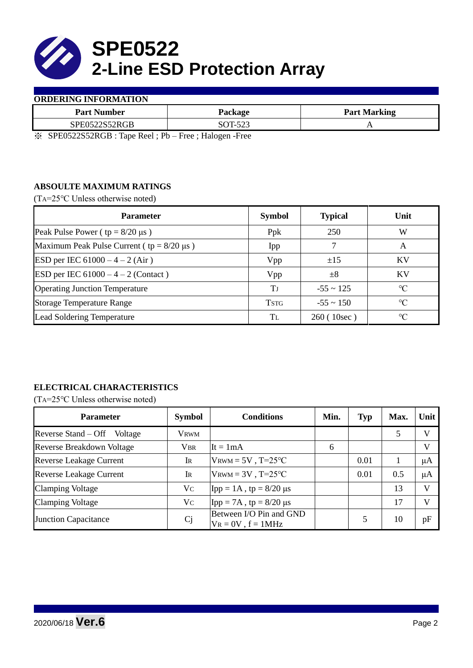

#### **ORDERING INFORMATION**

| <b>Part Number</b>  | Package         | <b>Part Marking</b> |
|---------------------|-----------------|---------------------|
| SPE0522S52<br>52RGB | $\Lambda$ T.522 | $\overline{ }$      |

※ SPE0522S52RGB : Tape Reel ; Pb – Free ; Halogen -Free

# **ABSOULTE MAXIMUM RATINGS**

(TA=25℃ Unless otherwise noted)

| <b>Parameter</b>                                 | <b>Symbol</b> | <b>Typical</b> | Unit            |
|--------------------------------------------------|---------------|----------------|-----------------|
| Peak Pulse Power ( $tp = 8/20 \mu s$ )           | Ppk           | 250            | W               |
| Maximum Peak Pulse Current ( $tp = 8/20 \mu s$ ) | Ipp           |                | A               |
| ESD per IEC $61000 - 4 - 2$ (Air)                | Vpp           | ±15            | KV              |
| ESD per IEC $61000 - 4 - 2$ (Contact)            | Vpp           | $\pm 8$        | KV              |
| <b>Operating Junction Temperature</b>            | Ŧт            | $-55 \sim 125$ | $\rm ^{\circ}C$ |
| <b>Storage Temperature Range</b>                 | <b>TSTG</b>   | $-55 \sim 150$ | $\rm ^{\circ}C$ |
| Lead Soldering Temperature                       | Tī.           | 260(10sec)     | $\rm ^{\circ}C$ |

# **ELECTRICAL CHARACTERISTICS**

(TA=25℃ Unless otherwise noted)

| <b>Parameter</b>                 | <b>Symbol</b> | <b>Conditions</b>                                  | Min. | <b>Typ</b> | Max. | Unit |
|----------------------------------|---------------|----------------------------------------------------|------|------------|------|------|
| Reverse Stand – Off<br>Voltage   | Vrwm          |                                                    |      |            | 5    | V    |
| <b>Reverse Breakdown Voltage</b> | <b>VBR</b>    | $\text{It} = 1 \text{mA}$                          | 6    |            |      | V    |
| <b>Reverse Leakage Current</b>   | IR            | $V_{\text{RWM}} = 5V$ , T=25°C                     |      | 0.01       |      | μA   |
| <b>Reverse Leakage Current</b>   | IR            | $V_{\text{RWM}} = 3V$ , T=25°C                     |      | 0.01       | 0.5  | μA   |
| <b>Clamping Voltage</b>          | Vc            | $\text{Ipp} = 1 \text{A}$ , tp = 8/20 µs           |      |            | 13   | V    |
| <b>Clamping Voltage</b>          | $V_{C}$       | Ipp = 7A, tp = $8/20$ μs                           |      |            | 17   | V    |
| <b>Junction Capacitance</b>      | Cj            | Between I/O Pin and GND<br>$V_R = 0V$ , $f = 1MHz$ |      |            | 10   | pF   |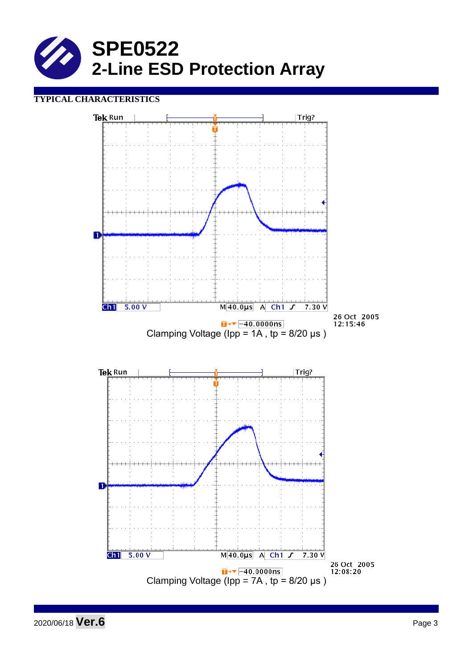

# **TYPICAL CHARACTERISTICS**



2020/06/18 **Ver.6** Page <sup>3</sup>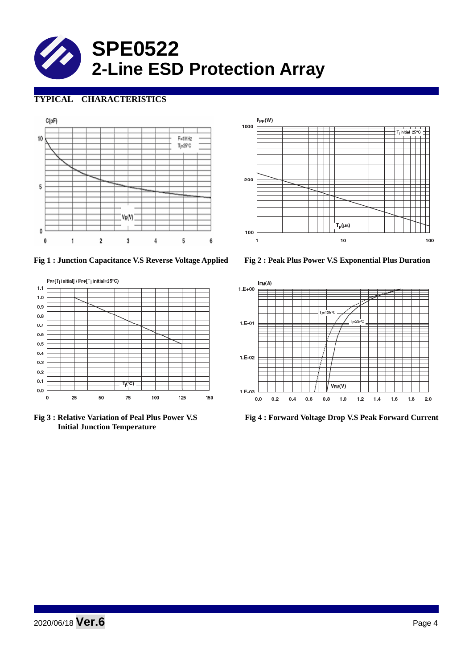

# **TYPICAL CHARACTERISTICS**





**Fig 1 : Junction Capacitance V.S Reverse Voltage Applied Fig 2 : Peak Plus Power V.S Exponential Plus Duration**



 **Initial Junction Temperature** 



**Fig 3 : Relative Variation of Peal Plus Power V.S Fig 4 : Forward Voltage Drop V.S Peak Forward Current**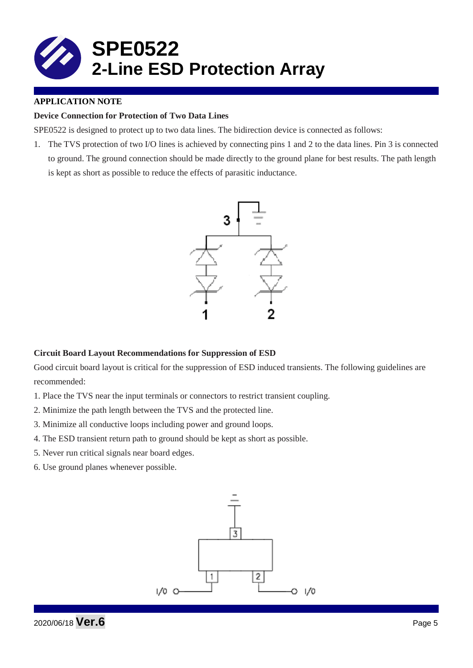

### **APPLICATION NOTE**

#### **Device Connection for Protection of Two Data Lines**

SPE0522 is designed to protect up to two data lines. The bidirection device is connected as follows:

1. The TVS protection of two I/O lines is achieved by connecting pins 1 and 2 to the data lines. Pin 3 is connected to ground. The ground connection should be made directly to the ground plane for best results. The path length is kept as short as possible to reduce the effects of parasitic inductance.



#### **Circuit Board Layout Recommendations for Suppression of ESD**

Good circuit board layout is critical for the suppression of ESD induced transients. The following guidelines are recommended:

- 1. Place the TVS near the input terminals or connectors to restrict transient coupling.
- 2. Minimize the path length between the TVS and the protected line.
- 3. Minimize all conductive loops including power and ground loops.
- 4. The ESD transient return path to ground should be kept as short as possible.
- 5. Never run critical signals near board edges.
- 6. Use ground planes whenever possible.